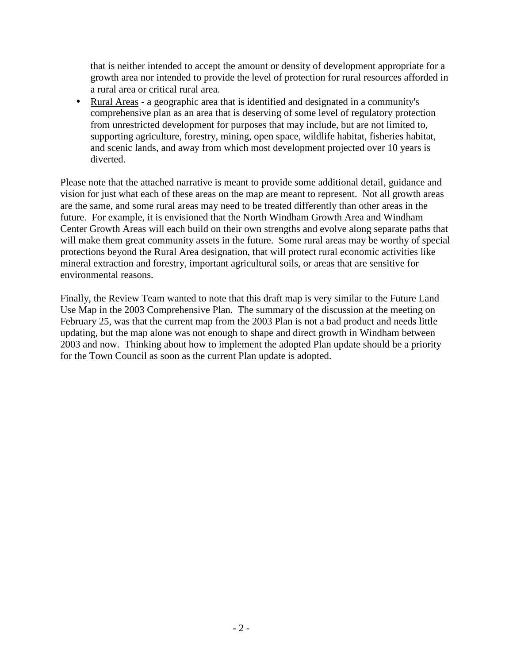that is neither intended to accept the amount or density of development appropriate for a growth area nor intended to provide the level of protection for rural resources afforded in a rural area or critical rural area.

 Rural Areas - a geographic area that is identified and designated in a community's comprehensive plan as an area that is deserving of some level of regulatory protection from unrestricted development for purposes that may include, but are not limited to, supporting agriculture, forestry, mining, open space, wildlife habitat, fisheries habitat, and scenic lands, and away from which most development projected over 10 years is diverted.

Please note that the attached narrative is meant to provide some additional detail, guidance and vision for just what each of these areas on the map are meant to represent. Not all growth areas are the same, and some rural areas may need to be treated differently than other areas in the future. For example, it is envisioned that the North Windham Growth Area and Windham Center Growth Areas will each build on their own strengths and evolve along separate paths that will make them great community assets in the future. Some rural areas may be worthy of special protections beyond the Rural Area designation, that will protect rural economic activities like mineral extraction and forestry, important agricultural soils, or areas that are sensitive for environmental reasons.

Finally, the Review Team wanted to note that this draft map is very similar to the Future Land Use Map in the 2003 Comprehensive Plan. The summary of the discussion at the meeting on February 25, was that the current map from the 2003 Plan is not a bad product and needs little updating, but the map alone was not enough to shape and direct growth in Windham between 2003 and now. Thinking about how to implement the adopted Plan update should be a priority for the Town Council as soon as the current Plan update is adopted.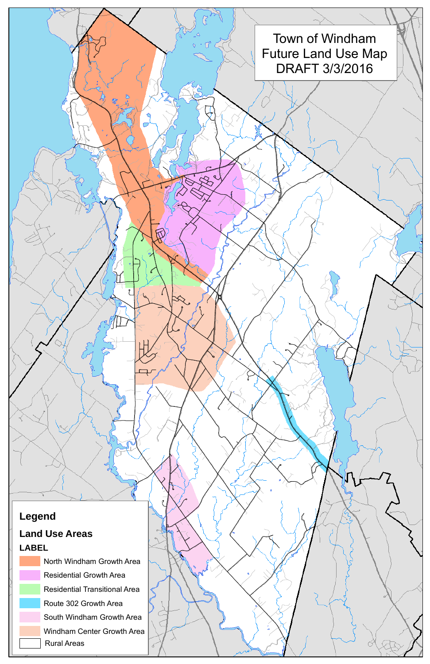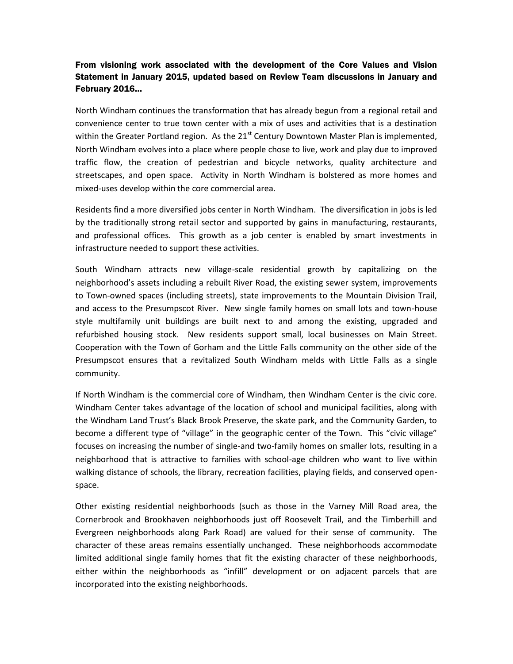## From visioning work associated with the development of the Core Values and Vision Statement in January 2015, updated based on Review Team discussions in January and February 2016…

North Windham continues the transformation that has already begun from a regional retail and convenience center to true town center with a mix of uses and activities that is a destination within the Greater Portland region. As the  $21<sup>st</sup>$  Century Downtown Master Plan is implemented, North Windham evolves into a place where people chose to live, work and play due to improved traffic flow, the creation of pedestrian and bicycle networks, quality architecture and streetscapes, and open space. Activity in North Windham is bolstered as more homes and mixed-uses develop within the core commercial area.

Residents find a more diversified jobs center in North Windham. The diversification in jobs is led by the traditionally strong retail sector and supported by gains in manufacturing, restaurants, and professional offices. This growth as a job center is enabled by smart investments in infrastructure needed to support these activities.

South Windham attracts new village-scale residential growth by capitalizing on the neighborhood's assets including a rebuilt River Road, the existing sewer system, improvements to Town-owned spaces (including streets), state improvements to the Mountain Division Trail, and access to the Presumpscot River. New single family homes on small lots and town-house style multifamily unit buildings are built next to and among the existing, upgraded and refurbished housing stock. New residents support small, local businesses on Main Street. Cooperation with the Town of Gorham and the Little Falls community on the other side of the Presumpscot ensures that a revitalized South Windham melds with Little Falls as a single community.

If North Windham is the commercial core of Windham, then Windham Center is the civic core. Windham Center takes advantage of the location of school and municipal facilities, along with the Windham Land Trust's Black Brook Preserve, the skate park, and the Community Garden, to become a different type of "village" in the geographic center of the Town. This "civic village" focuses on increasing the number of single-and two-family homes on smaller lots, resulting in a neighborhood that is attractive to families with school-age children who want to live within walking distance of schools, the library, recreation facilities, playing fields, and conserved open space.

Other existing residential neighborhoods (such as those in the Varney Mill Road area, the Cornerbrook and Brookhaven neighborhoods just off Roosevelt Trail, and the Timberhill and Evergreen neighborhoods along Park Road) are valued for their sense of community. The character of these areas remains essentially unchanged. These neighborhoods accommodate limited additional single family homes that fit the existing character of these neighborhoods, either within the neighborhoods as "infill" development or on adjacent parcels that are incorporated into the existing neighborhoods.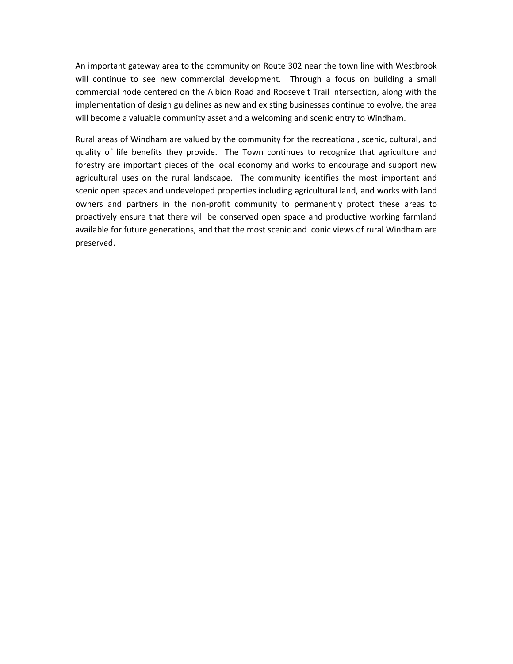An important gateway area to the community on Route 302 near the town line with Westbrook will continue to see new commercial development. Through a focus on building a small commercial node centered on the Albion Road and Roosevelt Trail intersection, along with the implementation of design guidelines as new and existing businesses continue to evolve, the area will become a valuable community asset and a welcoming and scenic entry to Windham.

Rural areas of Windham are valued by the community for the recreational, scenic, cultural, and quality of life benefits they provide. The Town continues to recognize that agriculture and forestry are important pieces of the local economy and works to encourage and support new agricultural uses on the rural landscape. The community identifies the most important and scenic open spaces and undeveloped properties including agricultural land, and works with land owners and partners in the non-profit community to permanently protect these areas to proactively ensure that there will be conserved open space and productive working farmland available for future generations, and that the most scenic and iconic views of rural Windham are preserved.